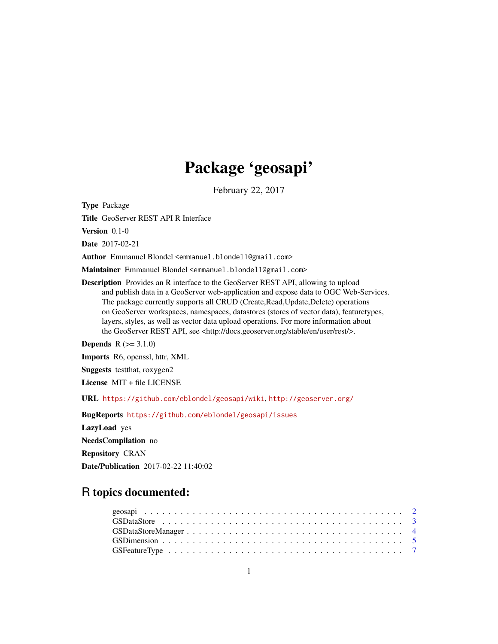# Package 'geosapi'

February 22, 2017

<span id="page-0-0"></span>Type Package

Title GeoServer REST API R Interface

Version 0.1-0

Date 2017-02-21

Author Emmanuel Blondel <emmanuel.blondel1@gmail.com>

Maintainer Emmanuel Blondel <emmanuel.blondel1@gmail.com>

Description Provides an R interface to the GeoServer REST API, allowing to upload and publish data in a GeoServer web-application and expose data to OGC Web-Services. The package currently supports all CRUD (Create,Read,Update,Delete) operations on GeoServer workspaces, namespaces, datastores (stores of vector data), featuretypes, layers, styles, as well as vector data upload operations. For more information about the GeoServer REST API, see <http://docs.geoserver.org/stable/en/user/rest/>.

**Depends**  $R (= 3.1.0)$ 

Imports R6, openssl, httr, XML

Suggests testthat, roxygen2

License MIT + file LICENSE

URL <https://github.com/eblondel/geosapi/wiki>, <http://geoserver.org/>

BugReports <https://github.com/eblondel/geosapi/issues>

LazyLoad yes

NeedsCompilation no

Repository CRAN

Date/Publication 2017-02-22 11:40:02

# R topics documented: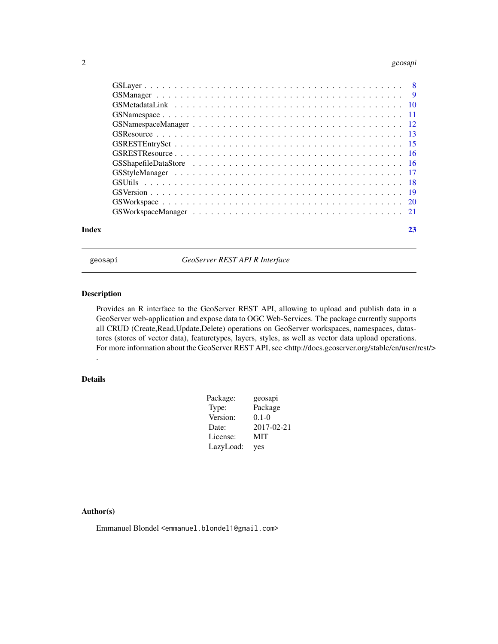#### <span id="page-1-0"></span>2 geosapi

| Index | 23 |
|-------|----|

geosapi *GeoServer REST API R Interface*

#### Description

Provides an R interface to the GeoServer REST API, allowing to upload and publish data in a GeoServer web-application and expose data to OGC Web-Services. The package currently supports all CRUD (Create,Read,Update,Delete) operations on GeoServer workspaces, namespaces, datastores (stores of vector data), featuretypes, layers, styles, as well as vector data upload operations. For more information about the GeoServer REST API, see <http://docs.geoserver.org/stable/en/user/rest/> .

# Details

| Package:  | geosapi    |
|-----------|------------|
| Type:     | Package    |
| Version:  | $0.1 - 0$  |
| Date:     | 2017-02-21 |
| License:  | MIT        |
| LazyLoad: | yes        |

# Author(s)

Emmanuel Blondel <emmanuel.blondel1@gmail.com>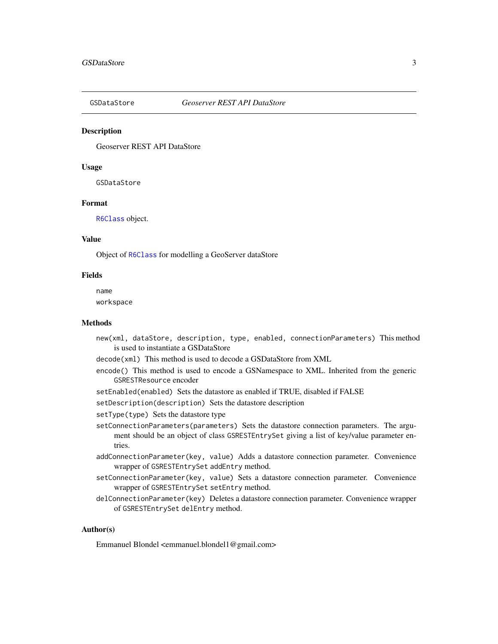<span id="page-2-1"></span><span id="page-2-0"></span>

Geoserver REST API DataStore

#### Usage

GSDataStore

#### Format

[R6Class](#page-0-0) object.

#### Value

Object of [R6Class](#page-0-0) for modelling a GeoServer dataStore

#### Fields

name workspace

#### Methods

- new(xml, dataStore, description, type, enabled, connectionParameters) This method is used to instantiate a GSDataStore
- decode(xml) This method is used to decode a GSDataStore from XML
- encode() This method is used to encode a GSNamespace to XML. Inherited from the generic GSRESTResource encoder
- setEnabled(enabled) Sets the datastore as enabled if TRUE, disabled if FALSE
- setDescription(description) Sets the datastore description
- setType(type) Sets the datastore type
- setConnectionParameters(parameters) Sets the datastore connection parameters. The argument should be an object of class GSRESTEntrySet giving a list of key/value parameter entries.
- addConnectionParameter(key, value) Adds a datastore connection parameter. Convenience wrapper of GSRESTEntrySet addEntry method.
- setConnectionParameter(key, value) Sets a datastore connection parameter. Convenience wrapper of GSRESTEntrySet setEntry method.
- delConnectionParameter(key) Deletes a datastore connection parameter. Convenience wrapper of GSRESTEntrySet delEntry method.

#### Author(s)

Emmanuel Blondel <emmanuel.blondel1@gmail.com>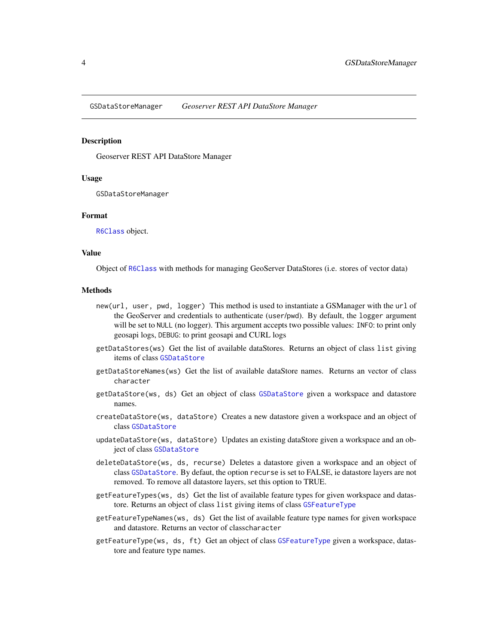<span id="page-3-0"></span>GSDataStoreManager *Geoserver REST API DataStore Manager*

#### Description

Geoserver REST API DataStore Manager

#### Usage

GSDataStoreManager

#### Format

[R6Class](#page-0-0) object.

#### Value

Object of [R6Class](#page-0-0) with methods for managing GeoServer DataStores (i.e. stores of vector data)

#### Methods

- new(url, user, pwd, logger) This method is used to instantiate a GSManager with the url of the GeoServer and credentials to authenticate (user/pwd). By default, the logger argument will be set to NULL (no logger). This argument accepts two possible values: INFO: to print only geosapi logs, DEBUG: to print geosapi and CURL logs
- getDataStores(ws) Get the list of available dataStores. Returns an object of class list giving items of class [GSDataStore](#page-2-1)
- getDataStoreNames(ws) Get the list of available dataStore names. Returns an vector of class character
- getDataStore(ws, ds) Get an object of class [GSDataStore](#page-2-1) given a workspace and datastore names.
- createDataStore(ws, dataStore) Creates a new datastore given a workspace and an object of class [GSDataStore](#page-2-1)
- updateDataStore(ws, dataStore) Updates an existing dataStore given a workspace and an object of class [GSDataStore](#page-2-1)
- deleteDataStore(ws, ds, recurse) Deletes a datastore given a workspace and an object of class [GSDataStore](#page-2-1). By defaut, the option recurse is set to FALSE, ie datastore layers are not removed. To remove all datastore layers, set this option to TRUE.
- getFeatureTypes(ws, ds) Get the list of available feature types for given workspace and datastore. Returns an object of class list giving items of class [GSFeatureType](#page-6-1)
- getFeatureTypeNames(ws, ds) Get the list of available feature type names for given workspace and datastore. Returns an vector of classcharacter
- getFeatureType(ws, ds, ft) Get an object of class [GSFeatureType](#page-6-1) given a workspace, datastore and feature type names.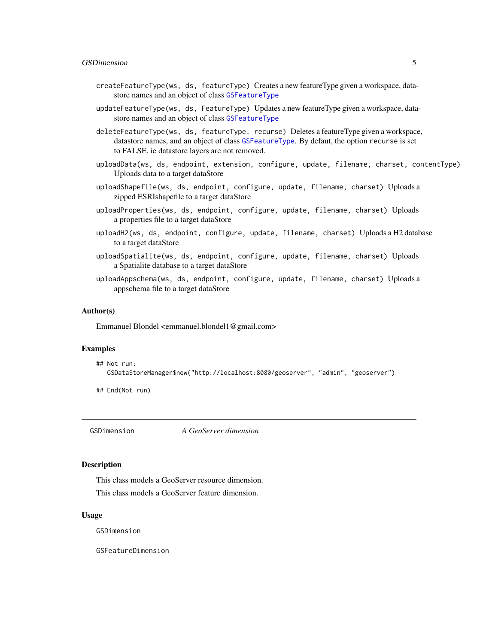#### <span id="page-4-0"></span>GSD imension 5

- createFeatureType(ws, ds, featureType) Creates a new featureType given a workspace, datastore names and an object of class [GSFeatureType](#page-6-1)
- updateFeatureType(ws, ds, FeatureType) Updates a new featureType given a workspace, datastore names and an object of class [GSFeatureType](#page-6-1)

deleteFeatureType(ws, ds, featureType, recurse) Deletes a featureType given a workspace, datastore names, and an object of class [GSFeatureType](#page-6-1). By defaut, the option recurse is set to FALSE, ie datastore layers are not removed.

- uploadData(ws, ds, endpoint, extension, configure, update, filename, charset, contentType) Uploads data to a target dataStore
- uploadShapefile(ws, ds, endpoint, configure, update, filename, charset) Uploads a zipped ESRIshapefile to a target dataStore
- uploadProperties(ws, ds, endpoint, configure, update, filename, charset) Uploads a properties file to a target dataStore
- uploadH2(ws, ds, endpoint, configure, update, filename, charset) Uploads a H2 database to a target dataStore
- uploadSpatialite(ws, ds, endpoint, configure, update, filename, charset) Uploads a Spatialite database to a target dataStore
- uploadAppschema(ws, ds, endpoint, configure, update, filename, charset) Uploads a appschema file to a target dataStore

#### Author(s)

Emmanuel Blondel <emmanuel.blondel1@gmail.com>

# Examples

```
## Not run:
  GSDataStoreManager$new("http://localhost:8080/geoserver", "admin", "geoserver")
```
## End(Not run)

GSDimension *A GeoServer dimension*

# Description

This class models a GeoServer resource dimension.

This class models a GeoServer feature dimension.

#### Usage

GSDimension

GSFeatureDimension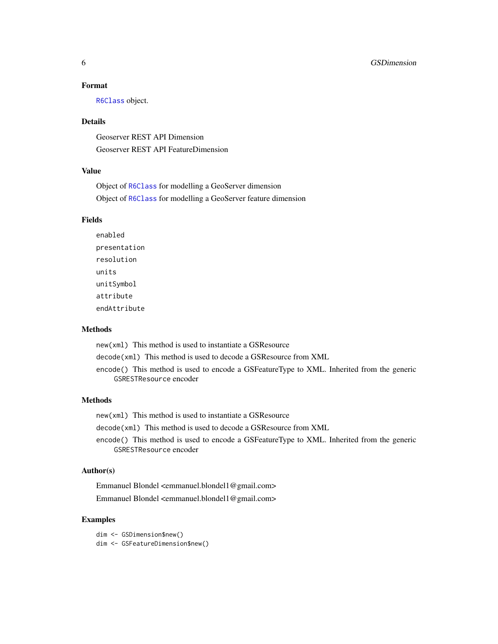# Format

[R6Class](#page-0-0) object.

# Details

Geoserver REST API Dimension Geoserver REST API FeatureDimension

# Value

Object of [R6Class](#page-0-0) for modelling a GeoServer dimension Object of [R6Class](#page-0-0) for modelling a GeoServer feature dimension

# Fields

enabled presentation resolution units unitSymbol attribute endAttribute

#### Methods

new(xml) This method is used to instantiate a GSResource

decode(xml) This method is used to decode a GSResource from XML

encode() This method is used to encode a GSFeatureType to XML. Inherited from the generic GSRESTResource encoder

# Methods

new(xml) This method is used to instantiate a GSResource

decode(xml) This method is used to decode a GSResource from XML

encode() This method is used to encode a GSFeatureType to XML. Inherited from the generic GSRESTResource encoder

# Author(s)

Emmanuel Blondel <emmanuel.blondel1@gmail.com> Emmanuel Blondel <emmanuel.blondel1@gmail.com>

# Examples

dim <- GSDimension\$new() dim <- GSFeatureDimension\$new()

<span id="page-5-0"></span>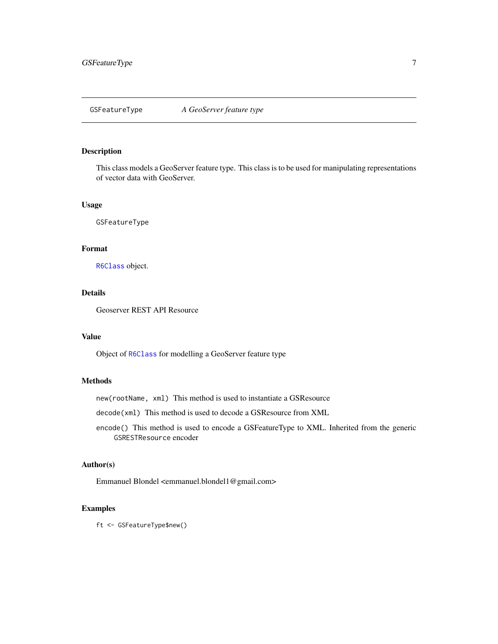<span id="page-6-1"></span><span id="page-6-0"></span>This class models a GeoServer feature type. This class is to be used for manipulating representations of vector data with GeoServer.

# Usage

GSFeatureType

#### Format

[R6Class](#page-0-0) object.

# Details

Geoserver REST API Resource

#### Value

Object of [R6Class](#page-0-0) for modelling a GeoServer feature type

# Methods

new(rootName, xml) This method is used to instantiate a GSResource

decode(xml) This method is used to decode a GSResource from XML

encode() This method is used to encode a GSFeatureType to XML. Inherited from the generic GSRESTResource encoder

# Author(s)

Emmanuel Blondel <emmanuel.blondel1@gmail.com>

#### Examples

ft <- GSFeatureType\$new()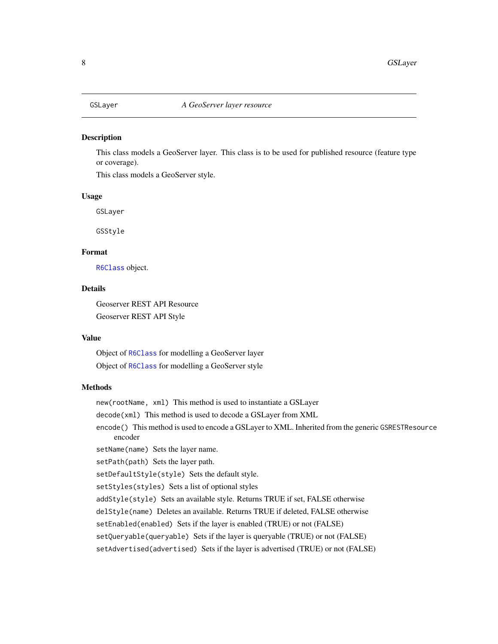<span id="page-7-1"></span><span id="page-7-0"></span>

This class models a GeoServer layer. This class is to be used for published resource (feature type or coverage).

This class models a GeoServer style.

# Usage

GSLayer

GSStyle

# Format

[R6Class](#page-0-0) object.

# Details

Geoserver REST API Resource Geoserver REST API Style

#### Value

Object of [R6Class](#page-0-0) for modelling a GeoServer layer Object of [R6Class](#page-0-0) for modelling a GeoServer style

# Methods

new(rootName, xml) This method is used to instantiate a GSLayer

decode(xml) This method is used to decode a GSLayer from XML

encode() This method is used to encode a GSLayer to XML. Inherited from the generic GSRESTResource encoder

setName(name) Sets the layer name.

setPath(path) Sets the layer path.

setDefaultStyle(style) Sets the default style.

setStyles(styles) Sets a list of optional styles

addStyle(style) Sets an available style. Returns TRUE if set, FALSE otherwise

delStyle(name) Deletes an available. Returns TRUE if deleted, FALSE otherwise

setEnabled(enabled) Sets if the layer is enabled (TRUE) or not (FALSE)

setQueryable(queryable) Sets if the layer is queryable (TRUE) or not (FALSE)

setAdvertised(advertised) Sets if the layer is advertised (TRUE) or not (FALSE)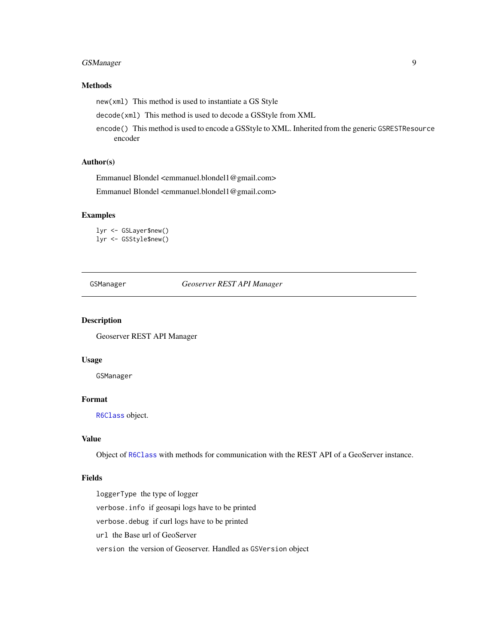# <span id="page-8-0"></span>GSManager 9

# Methods

new(xml) This method is used to instantiate a GS Style

decode(xml) This method is used to decode a GSStyle from XML

encode() This method is used to encode a GSStyle to XML. Inherited from the generic GSRESTResource encoder

# Author(s)

Emmanuel Blondel <emmanuel.blondel1@gmail.com>

Emmanuel Blondel <emmanuel.blondel1@gmail.com>

# Examples

lyr <- GSLayer\$new() lyr <- GSStyle\$new()

GSManager *Geoserver REST API Manager*

#### Description

Geoserver REST API Manager

#### Usage

GSManager

# Format

[R6Class](#page-0-0) object.

# Value

Object of [R6Class](#page-0-0) with methods for communication with the REST API of a GeoServer instance.

# Fields

loggerType the type of logger verbose.info if geosapi logs have to be printed verbose.debug if curl logs have to be printed url the Base url of GeoServer version the version of Geoserver. Handled as GSVersion object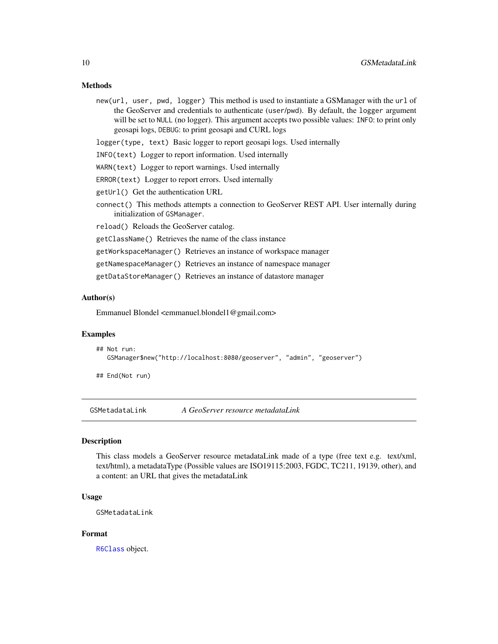# <span id="page-9-0"></span>Methods

new(url, user, pwd, logger) This method is used to instantiate a GSManager with the url of the GeoServer and credentials to authenticate (user/pwd). By default, the logger argument will be set to NULL (no logger). This argument accepts two possible values: INFO: to print only geosapi logs, DEBUG: to print geosapi and CURL logs

logger(type, text) Basic logger to report geosapi logs. Used internally

- INFO(text) Logger to report information. Used internally
- WARN(text) Logger to report warnings. Used internally
- ERROR(text) Logger to report errors. Used internally
- getUrl() Get the authentication URL
- connect() This methods attempts a connection to GeoServer REST API. User internally during initialization of GSManager.

reload() Reloads the GeoServer catalog.

getClassName() Retrieves the name of the class instance

getWorkspaceManager() Retrieves an instance of workspace manager

getNamespaceManager() Retrieves an instance of namespace manager

getDataStoreManager() Retrieves an instance of datastore manager

# Author(s)

Emmanuel Blondel <emmanuel.blondel1@gmail.com>

#### Examples

```
## Not run:
  GSManager$new("http://localhost:8080/geoserver", "admin", "geoserver")
```
## End(Not run)

GSMetadataLink *A GeoServer resource metadataLink*

#### Description

This class models a GeoServer resource metadataLink made of a type (free text e.g. text/xml, text/html), a metadataType (Possible values are ISO19115:2003, FGDC, TC211, 19139, other), and a content: an URL that gives the metadataLink

#### Usage

GSMetadataLink

# Format

[R6Class](#page-0-0) object.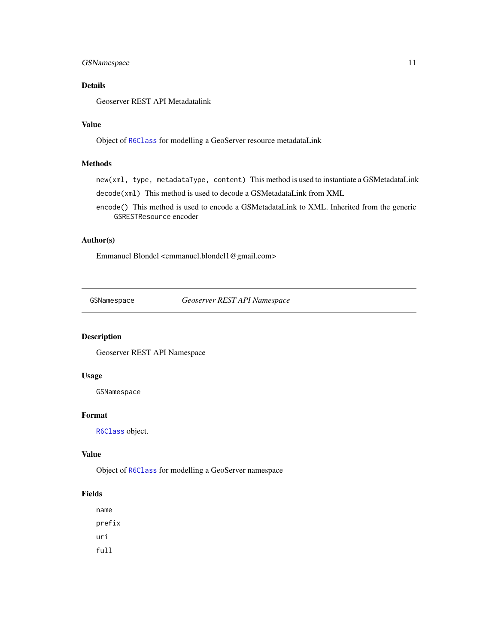# <span id="page-10-0"></span>GSNamespace 11

# Details

Geoserver REST API Metadatalink

# Value

Object of [R6Class](#page-0-0) for modelling a GeoServer resource metadataLink

# Methods

new(xml, type, metadataType, content) This method is used to instantiate a GSMetadataLink decode(xml) This method is used to decode a GSMetadataLink from XML

encode() This method is used to encode a GSMetadataLink to XML. Inherited from the generic GSRESTResource encoder

#### Author(s)

Emmanuel Blondel <emmanuel.blondel1@gmail.com>

<span id="page-10-1"></span>GSNamespace *Geoserver REST API Namespace*

#### Description

Geoserver REST API Namespace

# Usage

GSNamespace

# Format

[R6Class](#page-0-0) object.

#### Value

Object of [R6Class](#page-0-0) for modelling a GeoServer namespace

#### Fields

name prefix uri full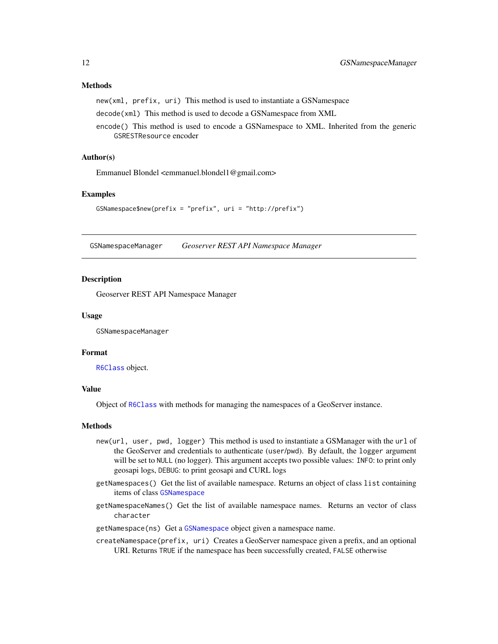# <span id="page-11-0"></span>Methods

new(xml, prefix, uri) This method is used to instantiate a GSNamespace

decode(xml) This method is used to decode a GSNamespace from XML

encode() This method is used to encode a GSNamespace to XML. Inherited from the generic GSRESTResource encoder

# Author(s)

Emmanuel Blondel <emmanuel.blondel1@gmail.com>

#### Examples

```
GSNamespace$new(prefix = "prefix", uri = "http://prefix")
```
<span id="page-11-1"></span>GSNamespaceManager *Geoserver REST API Namespace Manager*

#### **Description**

Geoserver REST API Namespace Manager

#### Usage

GSNamespaceManager

#### Format

[R6Class](#page-0-0) object.

# Value

Object of [R6Class](#page-0-0) with methods for managing the namespaces of a GeoServer instance.

#### Methods

- new(url, user, pwd, logger) This method is used to instantiate a GSManager with the url of the GeoServer and credentials to authenticate (user/pwd). By default, the logger argument will be set to NULL (no logger). This argument accepts two possible values: INFO: to print only geosapi logs, DEBUG: to print geosapi and CURL logs
- getNamespaces() Get the list of available namespace. Returns an object of class list containing items of class [GSNamespace](#page-10-1)
- getNamespaceNames() Get the list of available namespace names. Returns an vector of class character

getNamespace(ns) Get a [GSNamespace](#page-10-1) object given a namespace name.

createNamespace(prefix, uri) Creates a GeoServer namespace given a prefix, and an optional URI. Returns TRUE if the namespace has been successfully created, FALSE otherwise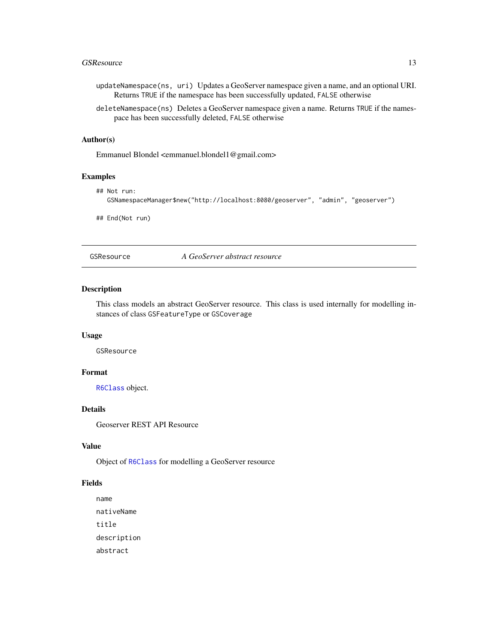#### <span id="page-12-0"></span>GSResource 13

- updateNamespace(ns, uri) Updates a GeoServer namespace given a name, and an optional URI. Returns TRUE if the namespace has been successfully updated, FALSE otherwise
- deleteNamespace(ns) Deletes a GeoServer namespace given a name. Returns TRUE if the namespace has been successfully deleted, FALSE otherwise

#### Author(s)

Emmanuel Blondel <emmanuel.blondel1@gmail.com>

# Examples

```
## Not run:
  GSNamespaceManager$new("http://localhost:8080/geoserver", "admin", "geoserver")
```
## End(Not run)

GSResource *A GeoServer abstract resource*

# Description

This class models an abstract GeoServer resource. This class is used internally for modelling instances of class GSFeatureType or GSCoverage

# Usage

GSResource

# Format

[R6Class](#page-0-0) object.

#### Details

Geoserver REST API Resource

#### Value

Object of [R6Class](#page-0-0) for modelling a GeoServer resource

#### Fields

name nativeName title description abstract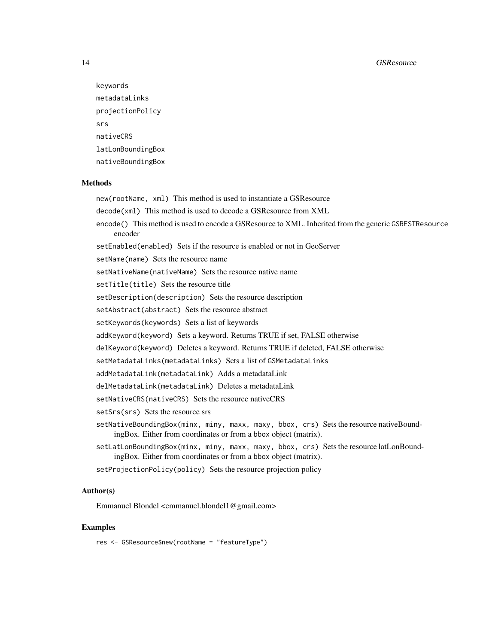```
keywords
metadataLinks
projectionPolicy
srs
nativeCRS
latLonBoundingBox
nativeBoundingBox
```
#### Methods

new(rootName, xml) This method is used to instantiate a GSResource decode(xml) This method is used to decode a GSResource from XML encode() This method is used to encode a GSResource to XML. Inherited from the generic GSRESTResource encoder setEnabled(enabled) Sets if the resource is enabled or not in GeoServer setName(name) Sets the resource name setNativeName(nativeName) Sets the resource native name setTitle(title) Sets the resource title setDescription(description) Sets the resource description setAbstract(abstract) Sets the resource abstract setKeywords(keywords) Sets a list of keywords addKeyword(keyword) Sets a keyword. Returns TRUE if set, FALSE otherwise delKeyword(keyword) Deletes a keyword. Returns TRUE if deleted, FALSE otherwise setMetadataLinks(metadataLinks) Sets a list of GSMetadataLinks addMetadataLink(metadataLink) Adds a metadataLink delMetadataLink(metadataLink) Deletes a metadataLink setNativeCRS(nativeCRS) Sets the resource nativeCRS setSrs(srs) Sets the resource srs setNativeBoundingBox(minx, miny, maxx, maxy, bbox, crs) Sets the resource nativeBoundingBox. Either from coordinates or from a bbox object (matrix). setLatLonBoundingBox(minx, miny, maxx, maxy, bbox, crs) Sets the resource latLonBoundingBox. Either from coordinates or from a bbox object (matrix). setProjectionPolicy(policy) Sets the resource projection policy

# Author(s)

Emmanuel Blondel <emmanuel.blondel1@gmail.com>

#### Examples

res <- GSResource\$new(rootName = "featureType")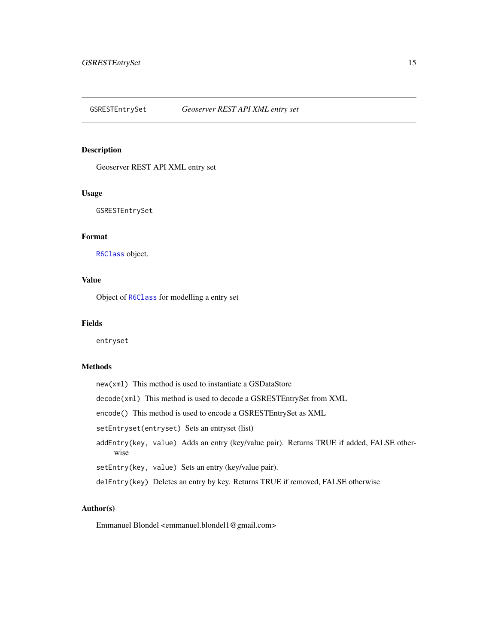<span id="page-14-0"></span>

Geoserver REST API XML entry set

# Usage

GSRESTEntrySet

# Format

[R6Class](#page-0-0) object.

# Value

Object of [R6Class](#page-0-0) for modelling a entry set

#### Fields

entryset

# Methods

new(xml) This method is used to instantiate a GSDataStore decode(xml) This method is used to decode a GSRESTEntrySet from XML encode() This method is used to encode a GSRESTEntrySet as XML setEntryset(entryset) Sets an entryset (list) addEntry(key, value) Adds an entry (key/value pair). Returns TRUE if added, FALSE otherwise setEntry(key, value) Sets an entry (key/value pair). delEntry(key) Deletes an entry by key. Returns TRUE if removed, FALSE otherwise

# Author(s)

Emmanuel Blondel <emmanuel.blondel1@gmail.com>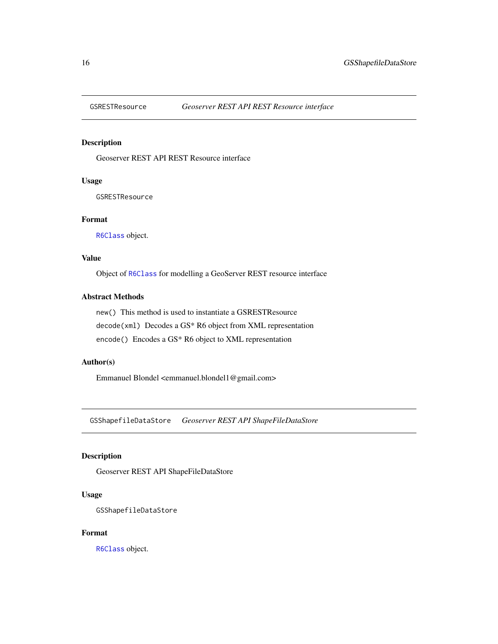<span id="page-15-0"></span>

Geoserver REST API REST Resource interface

# Usage

GSRESTResource

# Format

[R6Class](#page-0-0) object.

# Value

Object of [R6Class](#page-0-0) for modelling a GeoServer REST resource interface

# Abstract Methods

new() This method is used to instantiate a GSRESTResource decode(xml) Decodes a GS\* R6 object from XML representation encode() Encodes a GS\* R6 object to XML representation

# Author(s)

Emmanuel Blondel <emmanuel.blondel1@gmail.com>

GSShapefileDataStore *Geoserver REST API ShapeFileDataStore*

# Description

Geoserver REST API ShapeFileDataStore

#### Usage

GSShapefileDataStore

# Format

[R6Class](#page-0-0) object.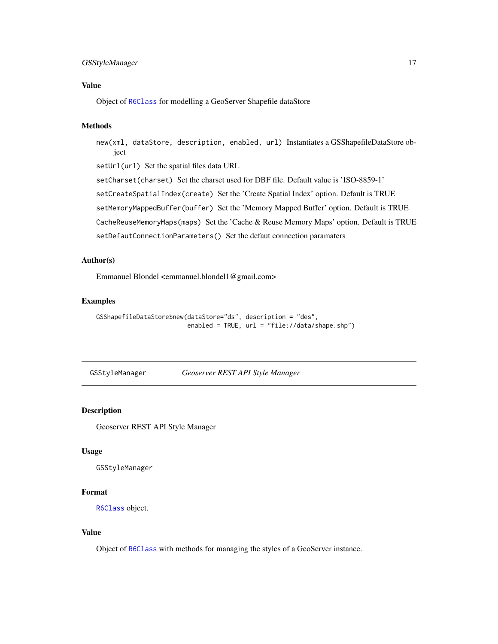# <span id="page-16-0"></span>GSStyleManager 17

# Value

Object of [R6Class](#page-0-0) for modelling a GeoServer Shapefile dataStore

# Methods

new(xml, dataStore, description, enabled, url) Instantiates a GSShapefileDataStore object

setUrl(url) Set the spatial files data URL

setCharset(charset) Set the charset used for DBF file. Default value is 'ISO-8859-1'

setCreateSpatialIndex(create) Set the 'Create Spatial Index' option. Default is TRUE

setMemoryMappedBuffer(buffer) Set the 'Memory Mapped Buffer' option. Default is TRUE

CacheReuseMemoryMaps(maps) Set the 'Cache & Reuse Memory Maps' option. Default is TRUE

setDefautConnectionParameters() Set the defaut connection paramaters

# Author(s)

Emmanuel Blondel <emmanuel.blondel1@gmail.com>

# Examples

```
GSShapefileDataStore$new(dataStore="ds", description = "des",
                        enabled = TRUE, url = "file://data/shape.shp")
```
GSStyleManager *Geoserver REST API Style Manager*

# Description

Geoserver REST API Style Manager

# Usage

GSStyleManager

# Format

[R6Class](#page-0-0) object.

# Value

Object of [R6Class](#page-0-0) with methods for managing the styles of a GeoServer instance.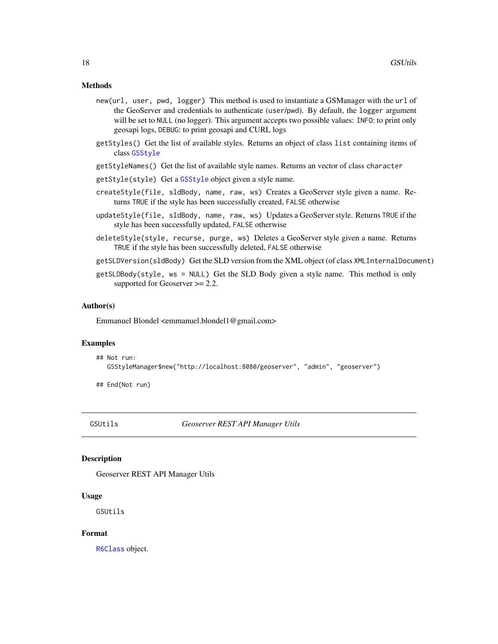#### <span id="page-17-0"></span>Methods

- new(url, user, pwd, logger) This method is used to instantiate a GSManager with the url of the GeoServer and credentials to authenticate (user/pwd). By default, the logger argument will be set to NULL (no logger). This argument accepts two possible values: INFO: to print only geosapi logs, DEBUG: to print geosapi and CURL logs
- getStyles() Get the list of available styles. Returns an object of class list containing items of class [GSStyle](#page-7-1)
- getStyleNames() Get the list of available style names. Returns an vector of class character
- getStyle(style) Get a [GSStyle](#page-7-1) object given a style name.
- createStyle(file, sldBody, name, raw, ws) Creates a GeoServer style given a name. Returns TRUE if the style has been successfully created, FALSE otherwise
- updateStyle(file, sldBody, name, raw, ws) Updates a GeoServer style. Returns TRUE if the style has been successfully updated, FALSE otherwise
- deleteStyle(style, recurse, purge, ws) Deletes a GeoServer style given a name. Returns TRUE if the style has been successfully deleted, FALSE otherwise
- getSLDVersion(sldBody) Get the SLD version from the XML object (of class XMLInternalDocument)
- getSLDBody(style, ws = NULL) Get the SLD Body given a style name. This method is only supported for Geoserver  $\geq$  2.2.

#### Author(s)

Emmanuel Blondel <emmanuel.blondel1@gmail.com>

#### Examples

## Not run: GSStyleManager\$new("http://localhost:8080/geoserver", "admin", "geoserver")

## End(Not run)

GSUtils *Geoserver REST API Manager Utils*

#### Description

Geoserver REST API Manager Utils

#### Usage

GSUtils

# Format

[R6Class](#page-0-0) object.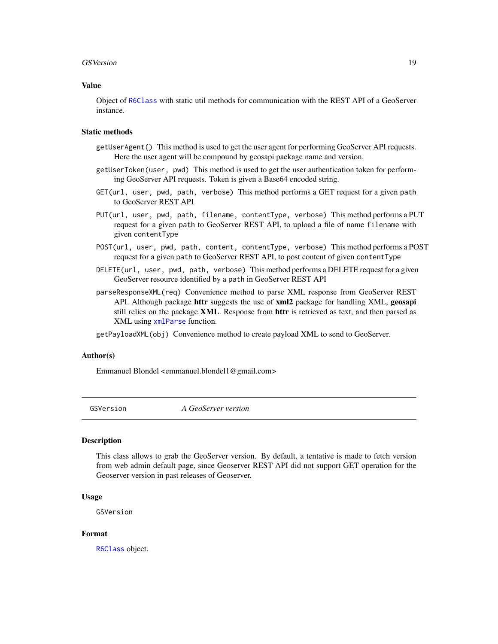#### <span id="page-18-0"></span>GSVersion 19

#### Value

Object of [R6Class](#page-0-0) with static util methods for communication with the REST API of a GeoServer instance.

#### Static methods

- getUserAgent() This method is used to get the user agent for performing GeoServer API requests. Here the user agent will be compound by geosapi package name and version.
- getUserToken(user, pwd) This method is used to get the user authentication token for performing GeoServer API requests. Token is given a Base64 encoded string.
- GET(url, user, pwd, path, verbose) This method performs a GET request for a given path to GeoServer REST API
- PUT(url, user, pwd, path, filename, contentType, verbose) This method performs a PUT request for a given path to GeoServer REST API, to upload a file of name filename with given contentType
- POST(url, user, pwd, path, content, contentType, verbose) This method performs a POST request for a given path to GeoServer REST API, to post content of given contentType
- DELETE(url, user, pwd, path, verbose) This method performs a DELETE request for a given GeoServer resource identified by a path in GeoServer REST API
- parseResponseXML(req) Convenience method to parse XML response from GeoServer REST API. Although package httr suggests the use of xml2 package for handling XML, geosapi still relies on the package XML. Response from httr is retrieved as text, and then parsed as XML using [xmlParse](#page-0-0) function.

getPayloadXML(obj) Convenience method to create payload XML to send to GeoServer.

#### Author(s)

Emmanuel Blondel <emmanuel.blondel1@gmail.com>

GSVersion *A GeoServer version*

#### Description

This class allows to grab the GeoServer version. By default, a tentative is made to fetch version from web admin default page, since Geoserver REST API did not support GET operation for the Geoserver version in past releases of Geoserver.

#### Usage

GSVersion

# Format

[R6Class](#page-0-0) object.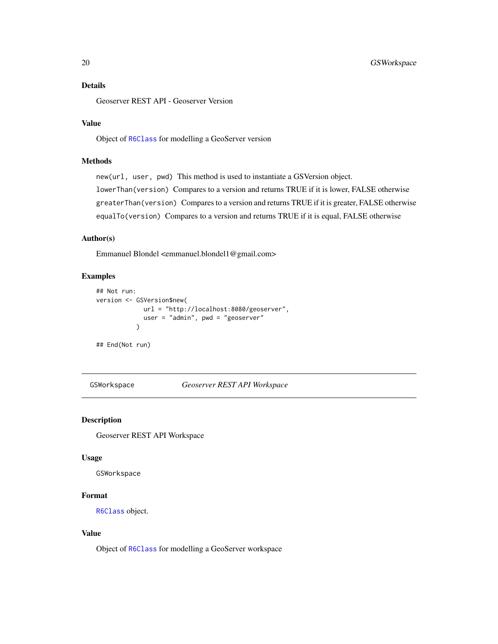# <span id="page-19-0"></span>Details

Geoserver REST API - Geoserver Version

# Value

Object of [R6Class](#page-0-0) for modelling a GeoServer version

# Methods

new(url, user, pwd) This method is used to instantiate a GSVersion object. lowerThan(version) Compares to a version and returns TRUE if it is lower, FALSE otherwise greaterThan(version) Compares to a version and returns TRUE if it is greater, FALSE otherwise equalTo(version) Compares to a version and returns TRUE if it is equal, FALSE otherwise

#### Author(s)

Emmanuel Blondel <emmanuel.blondel1@gmail.com>

#### Examples

```
## Not run:
version <- GSVersion$new(
             url = "http://localhost:8080/geoserver",
             user = "admin", pwd = "geoserver"
           )
## End(Not run)
```
<span id="page-19-1"></span>GSWorkspace *Geoserver REST API Workspace*

#### Description

Geoserver REST API Workspace

#### Usage

GSWorkspace

# Format

[R6Class](#page-0-0) object.

# Value

Object of [R6Class](#page-0-0) for modelling a GeoServer workspace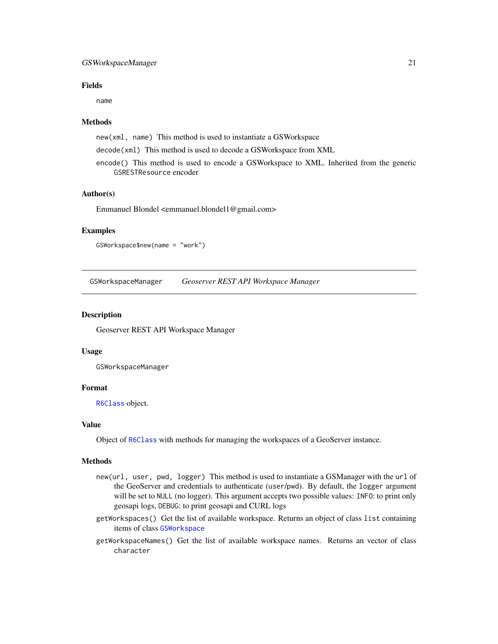# <span id="page-20-0"></span>GSWorkspaceManager 21

# Fields

name

#### Methods

new(xml, name) This method is used to instantiate a GSWorkspace

- decode(xml) This method is used to decode a GSWorkspace from XML
- encode() This method is used to encode a GSWorkspace to XML. Inherited from the generic GSRESTResource encoder

# Author(s)

Emmanuel Blondel <emmanuel.blondel1@gmail.com>

#### Examples

GSWorkspace\$new(name = "work")

GSWorkspaceManager *Geoserver REST API Workspace Manager*

# Description

Geoserver REST API Workspace Manager

#### Usage

GSWorkspaceManager

#### Format

[R6Class](#page-0-0) object.

#### Value

Object of [R6Class](#page-0-0) with methods for managing the workspaces of a GeoServer instance.

#### Methods

- new(url, user, pwd, logger) This method is used to instantiate a GSManager with the url of the GeoServer and credentials to authenticate (user/pwd). By default, the logger argument will be set to NULL (no logger). This argument accepts two possible values: INFO: to print only geosapi logs, DEBUG: to print geosapi and CURL logs
- getWorkspaces() Get the list of available workspace. Returns an object of class list containing items of class [GSWorkspace](#page-19-1)
- getWorkspaceNames() Get the list of available workspace names. Returns an vector of class character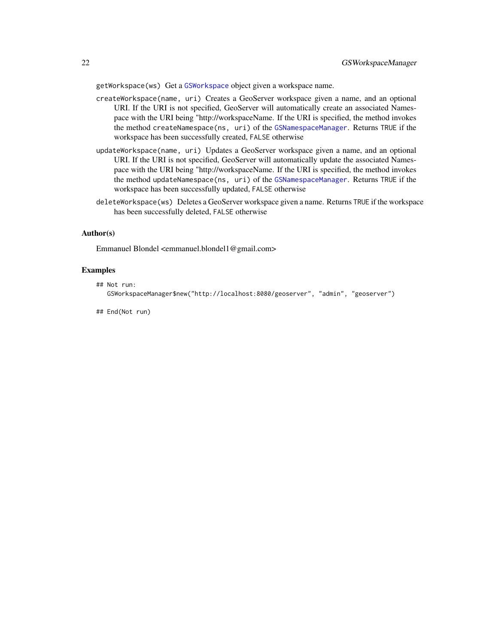<span id="page-21-0"></span>getWorkspace(ws) Get a [GSWorkspace](#page-19-1) object given a workspace name.

- createWorkspace(name, uri) Creates a GeoServer workspace given a name, and an optional URI. If the URI is not specified, GeoServer will automatically create an associated Namespace with the URI being "http://workspaceName. If the URI is specified, the method invokes the method createNamespace(ns, uri) of the [GSNamespaceManager](#page-11-1). Returns TRUE if the workspace has been successfully created, FALSE otherwise
- updateWorkspace(name, uri) Updates a GeoServer workspace given a name, and an optional URI. If the URI is not specified, GeoServer will automatically update the associated Namespace with the URI being "http://workspaceName. If the URI is specified, the method invokes the method updateNamespace(ns, uri) of the [GSNamespaceManager](#page-11-1). Returns TRUE if the workspace has been successfully updated, FALSE otherwise
- deleteWorkspace(ws) Deletes a GeoServer workspace given a name. Returns TRUE if the workspace has been successfully deleted, FALSE otherwise

#### Author(s)

Emmanuel Blondel <emmanuel.blondel1@gmail.com>

#### Examples

```
## Not run:
  GSWorkspaceManager$new("http://localhost:8080/geoserver", "admin", "geoserver")
```
## End(Not run)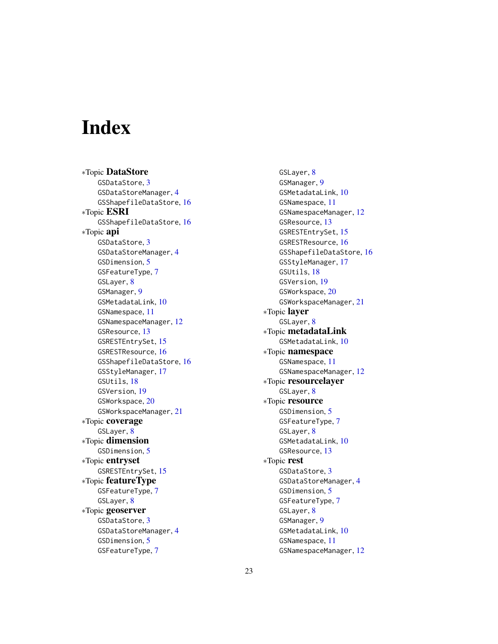# <span id="page-22-0"></span>Index

∗Topic DataStore GSDataStore, [3](#page-2-0) GSDataStoreManager, [4](#page-3-0) GSShapefileDataStore, [16](#page-15-0) ∗Topic ESRI GSShapefileDataStore, [16](#page-15-0) ∗Topic api GSDataStore, [3](#page-2-0) GSDataStoreManager, [4](#page-3-0) GSDimension, [5](#page-4-0) GSFeatureType, [7](#page-6-0) GSLayer, [8](#page-7-0) GSManager, [9](#page-8-0) GSMetadataLink, [10](#page-9-0) GSNamespace, [11](#page-10-0) GSNamespaceManager, [12](#page-11-0) GSResource, [13](#page-12-0) GSRESTEntrySet, [15](#page-14-0) GSRESTResource, [16](#page-15-0) GSShapefileDataStore, [16](#page-15-0) GSStyleManager, [17](#page-16-0) GSUtils, [18](#page-17-0) GSVersion, [19](#page-18-0) GSWorkspace, [20](#page-19-0) GSWorkspaceManager, [21](#page-20-0) ∗Topic coverage GSLayer, [8](#page-7-0) ∗Topic dimension GSDimension, [5](#page-4-0) ∗Topic entryset GSRESTEntrySet, [15](#page-14-0) ∗Topic featureType GSFeatureType, [7](#page-6-0) GSLayer, [8](#page-7-0) ∗Topic geoserver GSDataStore, [3](#page-2-0) GSDataStoreManager, [4](#page-3-0) GSDimension, [5](#page-4-0) GSFeatureType, [7](#page-6-0)

GSLayer, [8](#page-7-0) GSManager, [9](#page-8-0) GSMetadataLink, [10](#page-9-0) GSNamespace, [11](#page-10-0) GSNamespaceManager, [12](#page-11-0) GSResource, [13](#page-12-0) GSRESTEntrySet, [15](#page-14-0) GSRESTResource, [16](#page-15-0) GSShapefileDataStore, [16](#page-15-0) GSStyleManager, [17](#page-16-0) GSUtils, [18](#page-17-0) GSVersion, [19](#page-18-0) GSWorkspace, [20](#page-19-0) GSWorkspaceManager, [21](#page-20-0) ∗Topic layer GSLayer, [8](#page-7-0) ∗Topic metadataLink GSMetadataLink, [10](#page-9-0) ∗Topic namespace GSNamespace, [11](#page-10-0) GSNamespaceManager, [12](#page-11-0) ∗Topic resourcelayer GSLayer, [8](#page-7-0) ∗Topic resource GSDimension, [5](#page-4-0) GSFeatureType, [7](#page-6-0) GSLayer, [8](#page-7-0) GSMetadataLink, [10](#page-9-0) GSResource, [13](#page-12-0) ∗Topic rest GSDataStore, [3](#page-2-0) GSDataStoreManager, [4](#page-3-0) GSDimension, [5](#page-4-0) GSFeatureType, [7](#page-6-0) GSLayer, [8](#page-7-0) GSManager, [9](#page-8-0) GSMetadataLink, [10](#page-9-0) GSNamespace, [11](#page-10-0) GSNamespaceManager, [12](#page-11-0)